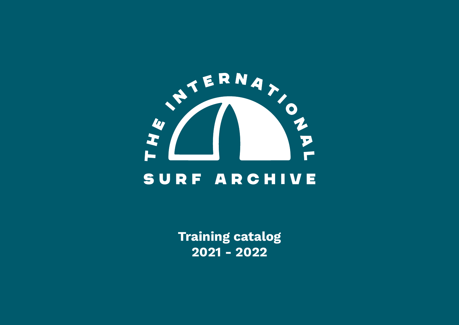

Training catalog 2021 - 2022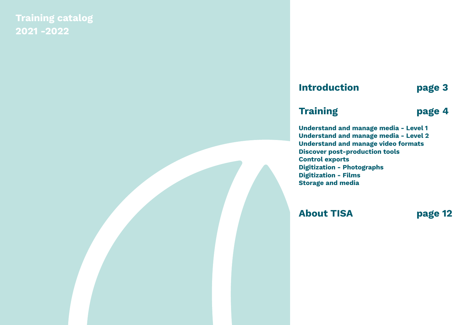Training catalog 2021 -2022

### Introduction page 3

#### Training **page 4**

Understand and manage media - Level 1 Understand and manage media - Level 2 Understand and manage video formats Discover post-production tools Control exports Digitization - Photographs Digitization - Films Storage and media

About TISA page 12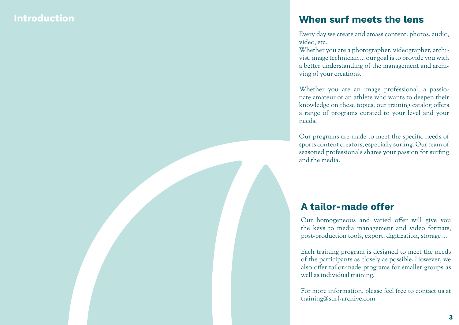#### **Introduction**

#### When surf meets the lens

Every day we create and amass content: photos, audio, video, etc.

Whether you are a photographer, videographer, archi vist, image technician ... our goal is to provide you with a better understanding of the management and archi ving of your creations.

Whether you are an image professional, a passio nate amateur or an athlete who wants to deepen their knowledge on these topics, our training catalog offers a range of programs curated to your level and your needs.

Our programs are made to meet the specific needs of sports content creators, especially surfing. Our team of seasoned professionals shares your passion for surfing and the media.

#### A tailor-made offer

Our homogeneous and varied offer will give you the keys to media management and video formats, post-production tools, export, digitization, storage ...

Each training program is designed to meet the needs of the participants as closely as possible. However, we also offer tailor-made programs for smaller groups as well as individual training.

For more information, please feel free to contact us at training@surf-archive.com.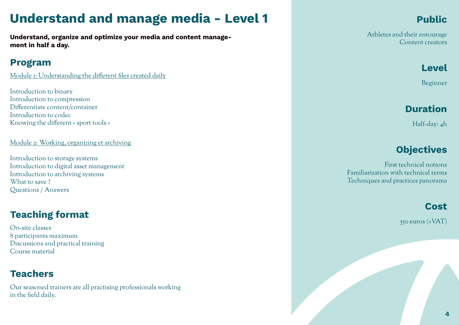# Understand and manage media - Level 1

Understand, organize and optimize your media and content management in half a day.

#### Program

Module 1: Understanding the different files created daily

Introduction to binary Introduction to compression Differentiate content/container Introduction to codec Knowing the different « sport tools »

Module 2: Working, organizing et archiving

Introduction to storage systems Introduction to digital asset management Introduction to archiving systems What to save? Questions / Answers

### Teaching format

On-site classes 8 participants maximum Discussions and practical training Course material

### Teachers

Our seasoned trainers are all practising professionals working in the field daily.

### Public

Athletes and their entourage Content creators

### Level

Beginner

### Duration

Half-day: 4h

### **Objectives**

First technical notions Familiarization with technical terms Techniques and practices panorama

#### Cost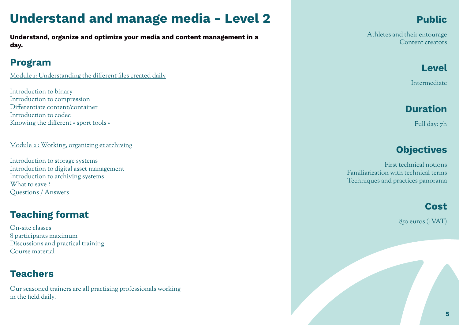# Understand and manage media - Level 2

Understand, organize and optimize your media and content management in a day.

### Program

Module 1: Understanding the different files created daily

Introduction to binary Introduction to compression Differentiate content/container Introduction to codec Knowing the different « sport tools »

Module 2 : Working, organizing et archiving

Introduction to storage systems Introduction to digital asset management Introduction to archiving systems What to save? Questions / Answers

### Teaching format

On-site classes 8 participants maximum Discussions and practical training Course material

### **Teachers**

Our seasoned trainers are all practising professionals working in the field daily.

### Public

Athletes and their entourage Content creators

#### Level

Intermediate

### Duration

Full day: 7h

### **Objectives**

First technical notions Familiarization with technical terms Techniques and practices panorama

#### Cost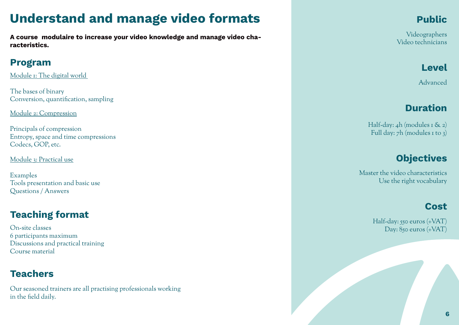# Understand and manage video formats

A course modulaire to increase your video knowledge and manage video characteristics.

### Program

Module 1: The digital world

The bases of binary Conversion, quantification, sampling

Module 2: Compression

Principals of compression Entropy, space and time compressions Codecs, GOP, etc.

Module 3: Practical use

Examples Tools presentation and basic use Questions / Answers

### Teaching format

On-site classes 6 participants maximum Discussions and practical training Course material

### **Teachers**

Our seasoned trainers are all practising professionals working in the field daily.

### Public

Videographers Video technicians

### Level

Advanced

### Duration

Half-day:  $_4$ h (modules 1 & 2) Full day: 7h (modules 1 to 3)

### **Objectives**

Master the video characteristics Use the right vocabulary

#### Cost

Half-day: 550 euros (+VAT) Day: 850 euros (+VAT)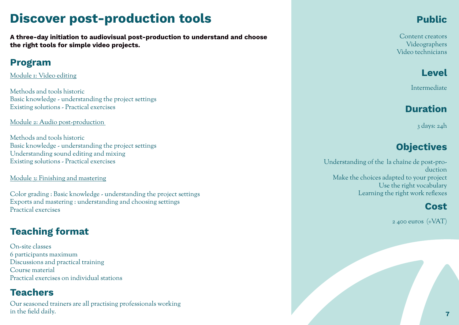# Discover post-production tools

A three-day initiation to audiovisual post-production to understand and choose the right tools for simple video projects.

#### Program

Module 1: Video editing

Methods and tools historic Basic knowledge - understanding the project settings Existing solutions - Practical exercises

Module 2: Audio post-production

Methods and tools historic Basic knowledge - understanding the project settings Understanding sound editing and mixing Existing solutions - Practical exercises

Module 3: Finishing and mastering

Color grading : Basic knowledge - understanding the project settings Exports and mastering : understanding and choosing settings Practical exercises

### Teaching format

On-site classes 6 participants maximum Discussions and practical training Course material Practical exercises on individual stations

#### Teachers

Our seasoned trainers are all practising professionals working in the field daily.

### Public

Content creators Videographers Video technicians

Level

Intermediate

### Duration

3 days: 24h

### **Objectives**

Understanding of the la chaîne de post-production Make the choices adapted to your project Use the right vocabulary Learning the right work reflexes

### Cost

2 400 euros (+VAT)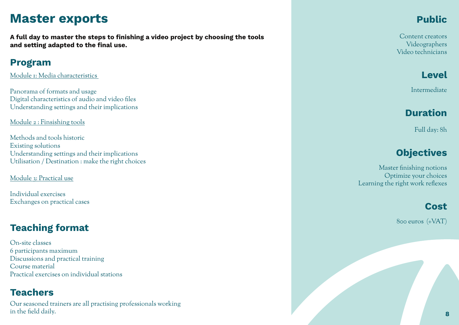## Master exports

A full day to master the steps to finishing a video project by choosing the tools and setting adapted to the final use.

#### Program

Module 1: Media characteristics

Panorama of formats and usage Digital characteristics of audio and video files Understanding settings and their implications

Module 2 : Finsishing tools

Methods and tools historic Existing solutions Understanding settings and their implications Utilisation / Destination : make the right choices

Module 3: Practical use

Individual exercises Exchanges on practical cases

#### Teaching format

On-site classes 6 participants maximum Discussions and practical training Course material Practical exercises on individual stations

#### Teachers

Our seasoned trainers are all practising professionals working in the field daily.

### Public

Content creators Videographers Video technicians

Level

Intermediate

### Duration

Full day: 8h

### **Objectives**

Master finishing notions Optimize your choices Learning the right work reflexes

#### Cost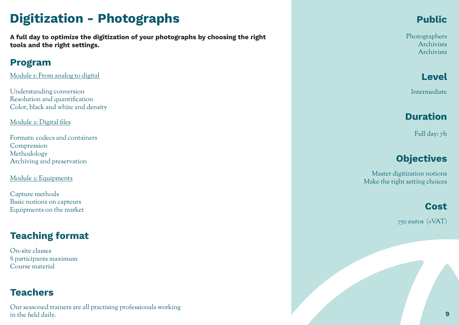# Digitization - Photographs

A full day to optimize the digitization of your photographs by choosing the right tools and the right settings.

### Program

Module 1: From analog to digital

Understanding conversion Resolution and quantification Color, black and white and density

Module 2: Digital files

Formats: codecs and containers Compression Methodology Archiving and preservation

Module 3: Equipments

Capture methods Basic notions on capteurs Equipments on the market

### Teaching format

On-site classes 8 participants maximum Course material

#### **Teachers**

Our seasoned trainers are all practising professionals working in the field daily.

### Public

Photographers Archivists Archivists

Level

Intermediate

### Duration

Full day: 7h

### **Objectives**

Master digitization notions Make the right setting choices

### Cost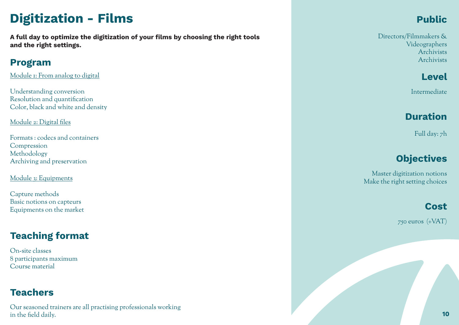# Digitization - Films

A full day to optimize the digitization of your films by choosing the right tools and the right settings.

#### Program

Module 1: From analog to digital

Understanding conversion Resolution and quantification Color, black and white and density

Module 2: Digital files

Formats : codecs and containers Compression Methodology Archiving and preservation

Module 3: Equipments

Capture methods Basic notions on capteurs Equipments on the market

### Teaching format

On-site classes 8 participants maximum Course material

#### **Teachers**

Our seasoned trainers are all practising professionals working in the field daily.

### Public

Directors/Filmmakers & Videographers Archivists Archivists

Level

Intermediate

### Duration

Full day: 7h

### **Objectives**

Master digitization notions Make the right setting choices

#### Cost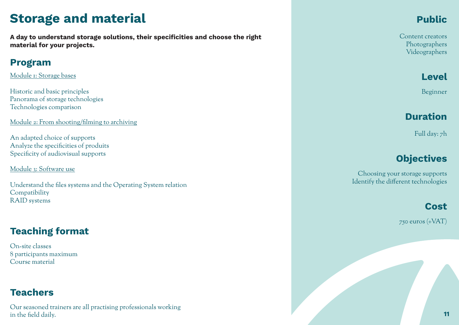# Storage and material

A day to understand storage solutions, their specificities and choose the right material for your projects.

### Program

Module 1: Storage bases

Historic and basic principles Panorama of storage technologies Technologies comparison

Module 2: From shooting/filming to archiving

An adapted choice of supports Analyze the specificities of produits Specificity of audiovisual supports

Module 3: Software use

Understand the files systems and the Operating System relation Compatibility RAID systems

### Teaching format

On-site classes 8 participants maximum Course material

#### **Teachers**

Our seasoned trainers are all practising professionals working in the field daily.

### Public

Content creators Photographers Videographers

Level

Beginner

#### Duration

Full day: 7h

### **Objectives**

Choosing your storage supports Identify the different technologies

#### Cost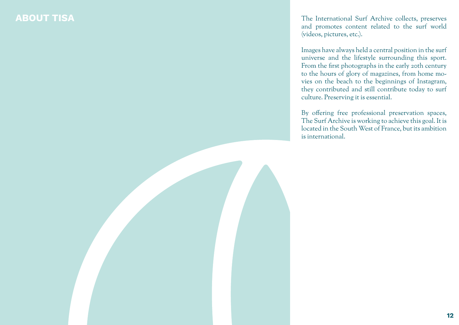ABOUT TISA THE International Surf Archive collects, preserves and promotes content related to the surf world (videos, pictures, etc.).

> Images have always held a central position in the surf universe and the lifestyle surrounding this sport. From the first photographs in the early 20th century to the hours of glory of magazines, from home movies on the beach to the beginnings of Instagram, they contributed and still contribute today to surf culture. Preserving it is essential.

> By offering free professional preservation spaces, The Surf Archive is working to achieve this goal. It is located in the South West of France, but its ambition is international.